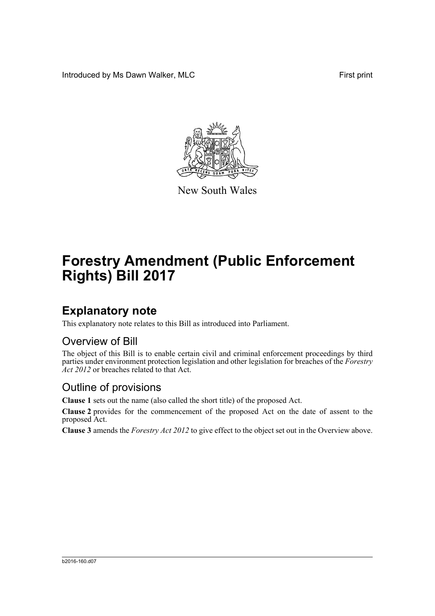Introduced by Ms Dawn Walker, MLC **Find the State of Tana American** First print



New South Wales

# **Forestry Amendment (Public Enforcement Rights) Bill 2017**

## **Explanatory note**

This explanatory note relates to this Bill as introduced into Parliament.

#### Overview of Bill

The object of this Bill is to enable certain civil and criminal enforcement proceedings by third parties under environment protection legislation and other legislation for breaches of the *Forestry* Act 2012 or breaches related to that Act.

#### Outline of provisions

**Clause 1** sets out the name (also called the short title) of the proposed Act.

**Clause 2** provides for the commencement of the proposed Act on the date of assent to the proposed Act.

**Clause 3** amends the *Forestry Act 2012* to give effect to the object set out in the Overview above.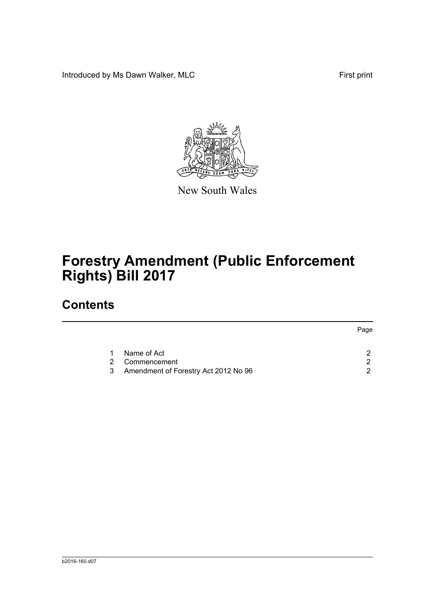Introduced by Ms Dawn Walker, MLC **Find the United States and America** First print



New South Wales

# **Forestry Amendment (Public Enforcement Rights) Bill 2017**

## **Contents**

|   |                                      | Page |
|---|--------------------------------------|------|
|   |                                      |      |
| 1 | Name of Act                          |      |
|   | 2 Commencement                       |      |
| 3 | Amendment of Forestry Act 2012 No 96 |      |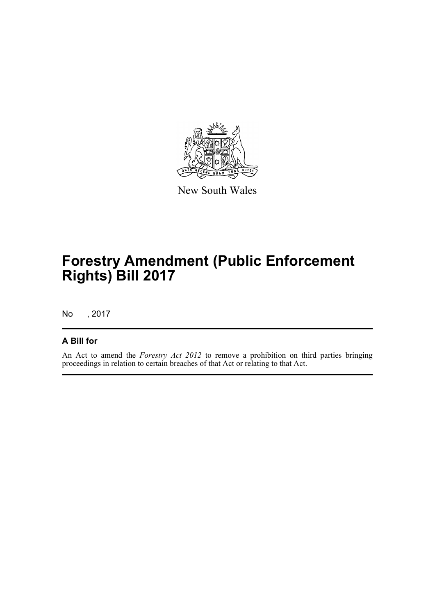

New South Wales

## **Forestry Amendment (Public Enforcement Rights) Bill 2017**

No , 2017

#### **A Bill for**

An Act to amend the *Forestry Act 2012* to remove a prohibition on third parties bringing proceedings in relation to certain breaches of that Act or relating to that Act.